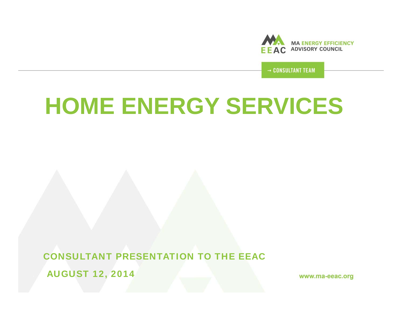

→ CONSULTANT TEAM

# **HOME ENERGY SERVICES**

CONSULTANT PRESENTATION TO THE EEAC

AUGUST 12, 2014

www.ma-eeac.org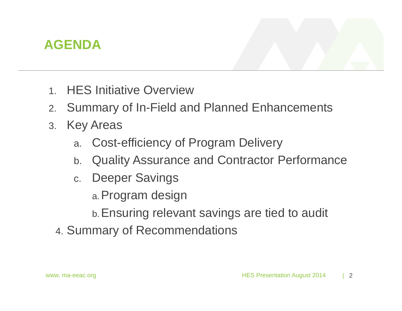



- 1.HES Initiative Overview
- 2. Summary of In-Field and Planned Enhancements
- 3. Key Areas
	- a.Cost-efficiency of Program Delivery
	- b.Quality Assurance and Contractor Performance
	- c. Deeper Savings
		- a.Program design
		- b.Ensuring relevant savings are tied to audit
	- 4. Summary of Recommendations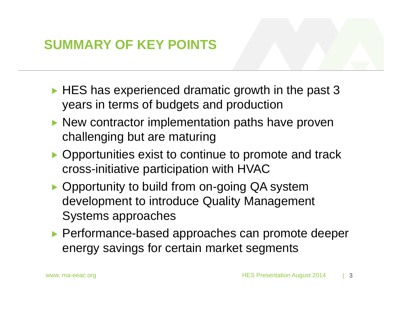# **SUMMARY OF KEY POINTS**

- ► HES has experienced dramatic growth in the past 3 years in terms of budgets and production
- ▶ New contractor implementation paths have proven challenging but are maturing
- ▶ Opportunities exist to continue to promote and track cross-initiative participation with HVAC
- ▶ Opportunity to build from on-going QA system development to introduce Quality Management Systems approaches
- **Performance-based approaches can promote deeper** energy savings for certain market segments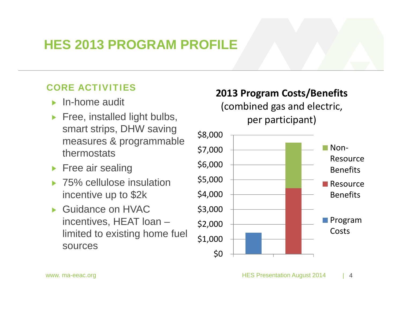## **HES 2013 PROGRAM PROFILE**

### CORE ACTIVITIES

- $\blacktriangleright$  In-home audit
- $\blacktriangleright$  Free, installed light bulbs, smart strips, DHW saving measures & programmable thermostats
- $\blacktriangleright$  Free air sealing
- ▶ 75% cellulose insulation incentive up to \$2k
- ▶ Guidance on HVAC incentives, HEAT loan – limited to existing home fuel sources

#### \$0 \$1,000 \$2,000 \$3,000 \$4,000 \$5,000 \$6,000 \$7,000 \$8,000 **2013 Program Costs/Benefits** (combined gas and electric, per participant) Non‐ResourceBenefitsResource Benefits**Program** Costs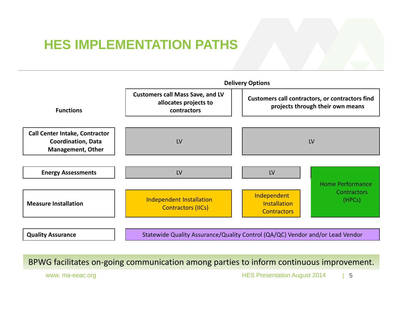# **HES IMPLEMENTATION PATHS**



BPWG facilitates on‐going communication among parties to inform continuous improvement.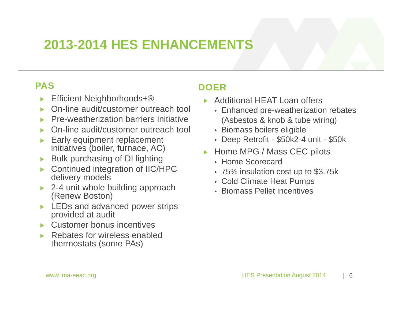# **2013-2014 HES ENHANCEMENTS**

### PAS

- Efficient Neighborhoods+® ь
- On-line audit/customer outreach tool ь
- Pre-weatherization barriers initiativeь
- On-line audit/customer outreach tool
- Early equipment replacement ▶ initiatives (boiler, furnace, AC)
- Bulk purchasing of DI lighting ▶
- ▶ Continued integration of IIC/HPC delivery models
- ▶ 2-4 unit whole building approach (Renew Boston)
- ▶ LEDs and advanced power strips provided at audit
- Customer bonus incentives
- Rebates for wireless enabled ь thermostats (some PAs)

### DOER

- Additional HEAT Loan offers
	- Enhanced pre-weatherization rebates (Asbestos & knob & tube wiring)
	- Biomass boilers eligible
	- Deep Retrofit \$50k2-4 unit \$50k
- Home MPG / Mass CEC pilots
	- Home Scorecard
	- 75% insulation cost up to \$3.75k
	- Cold Climate Heat Pumps
	- Biomass Pellet incentives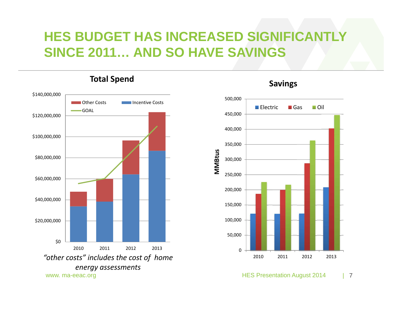# **HES BUDGET HAS INCREASED SIGNIFICANTLY SINCE 2011… AND SO HAVE SAVINGS**



**Total Spend**



**Savings**

| 7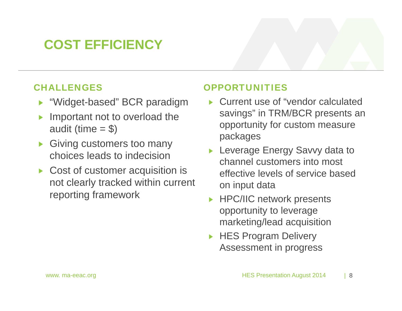# **COST EFFICIENCY**

### CHALLENGES

- ▶ "Widget-based" BCR paradigm
- **Important not to overload the** audit (time  $= $$ )
- Giving customers too many choices leads to indecision
- ▶ Cost of customer acquisition is not clearly tracked within current reporting framework

### OPPORTUNITIES

- Current use of "vendor calculated savings" in TRM/BCR presents an opportunity for custom measure packages
- Leverage Energy Savvy data to channel customers into most effective levels of service based on input data
- HPC/IIC network presents opportunity to leverage marketing/lead acquisition
- HES Program Delivery Assessment in progress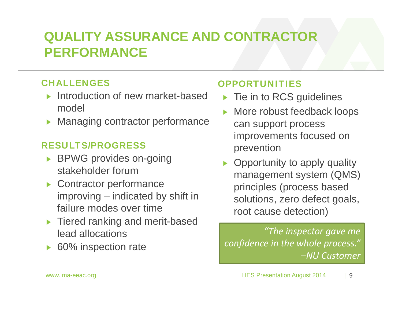# **QUALITY ASSURANCE AND CONTRACTOR PERFORMANCE**

### CHALLENGES

- **Introduction of new market-based** model
- **Managing contractor performance**

### RESULTS/PROGRESS

- **BPWG provides on-going** stakeholder forum
- ▶ Contractor performance improving – indicated by shift in failure modes over time
- ▶ Tiered ranking and merit-based lead allocations
- 60% inspection rate

### OPPORTUNITIES

- ▶ Tie in to RCS guidelines
- More robust feedback loops can support process improvements focused on prevention
- Opportunity to apply quality management system (QMS) principles (process based solutions, zero defect goals, root cause detection)

*"The inspector gave me confidence in the whole process." –NU Customer*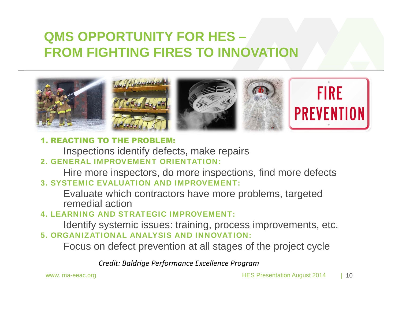# **QMS OPPORTUNITY FOR HES – FROM FIGHTING FIRES TO INNOVATION**



#### 1. REACTING TO THE PROBLEM:

Inspections identify defects, make repairs

#### 2. GENERAL IMPROVEMENT ORIENTATION:

Hire more inspectors, do more inspections, find more defects 3. SYSTEMIC EVALUATION AND IMPROVEMENT:

Evaluate which contractors have more problems, targeted remedial action

4. LEARNING AND STRATEGIC IMPROVEMENT:

Identify systemic issues: training, process improvements, etc. 5. ORGANIZATIONAL ANALYSIS AND INNOVATION:

Focus on defect prevention at all stages of the project cycle

*Credit: Baldrige Performance Excellence Program*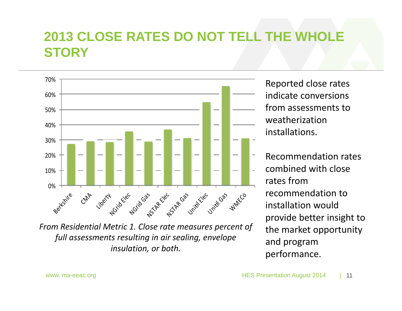## **2013 CLOSE RATES DO NOT TELL THE STORY**



*From Residential Metric 1. Close rate measures percent of full assessments resulting in air sealing, envelope insulation, or both.*

Reported close rates indicate conversions from assessments to weatherizationinstallations.

Recommendation rates combined with close rates fromrecommendation to installation would provide better insight to the market opportunity and program performance.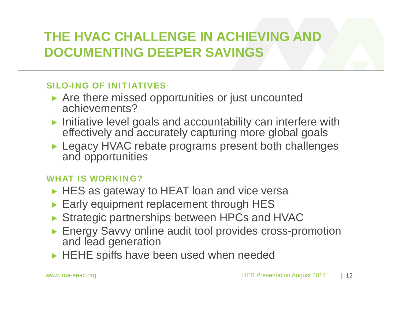# **THE HVAC CHALLENGE IN ACHIEVING AND DOCUMENTING DEEPER SAVINGS**

#### SILO-ING OF INITIATIVES

- ▶ Are there missed opportunities or just uncounted achievements?
- **Initiative level goals and accountability can interfere with** effectively and accurately capturing more global goals
- ► Legacy HVAC rebate programs present both challenges and opportunities

### WHAT IS WORKING?

- ▶ HES as gateway to HEAT loan and vice versa
- Early equipment replacement through HES
- Strategic partnerships between HPCs and HVAC
- **Energy Savvy online audit tool provides cross-promotion** and lead generation
- ▶ HEHE spiffs have been used when needed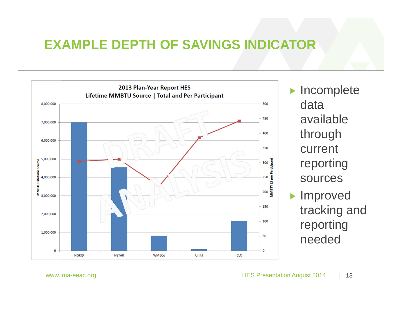## **EXAMPLE DEPTH OF SAVINGS INDICATOR**



- **Incomplete** data available through current reporting sources
- Improved  $\blacktriangleright$ tracking and reporting needed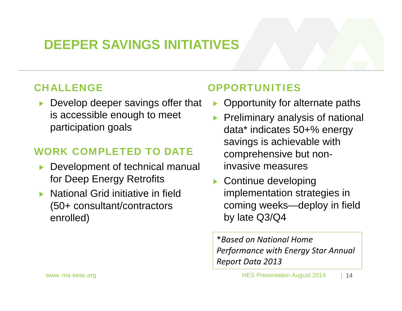# **DEEPER SAVINGS INITIATIVES**

### CHALLENGE

Develop deeper savings offer that  $\blacktriangleright$ is accessible enough to meet participation goals

### WORK COMPLETED TO DATE

- Development of technical manual for Deep Energy Retrofits
- National Grid initiative in field ь (50+ consultant/contractors enrolled)

### OPPORTUNITIES

- Opportunity for alternate paths
- Preliminary analysis of national data\* indicates 50+% energy savings is achievable with comprehensive but noninvasive measures
- Continue developing implementation strategies in coming weeks—deploy in field by late Q3/Q4

\**Based on National Home Performance with Energy Star Annual Report Data 2013*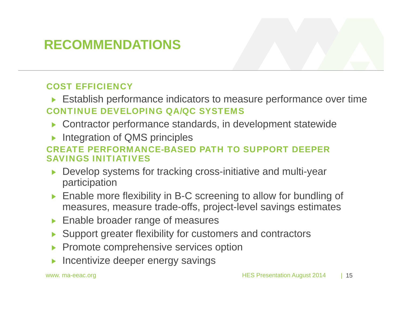# **RECOMMENDATIONS**

#### COST EFFICIENCY

▶ Establish performance indicators to measure performance over time CONTINUE DEVELOPING QA/QC SYSTEMS

- Contractor performance standards, in development statewide
- Integration of QMS principles

#### CREATE PERFORMANCE-BASED PATH TO SUPPORT DEEPER SAVINGS INITIATIVES

- Develop systems for tracking cross-initiative and multi-year participation
- Enable more flexibility in B-C screening to allow for bundling of measures, measure trade-offs, project-level savings estimates
- Enable broader range of measures
- Support greater flexibility for customers and contractors
- Promote comprehensive services option
- Incentivize deeper energy savings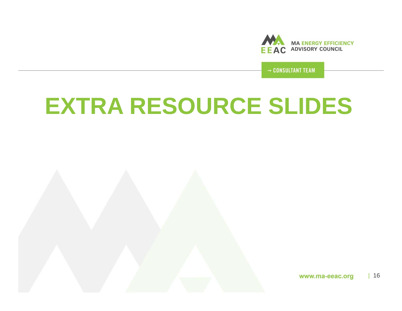

→ CONSULTANT TEAM

# **EXTRA RESOURCE SLIDES**

| 16www.ma-eeac.org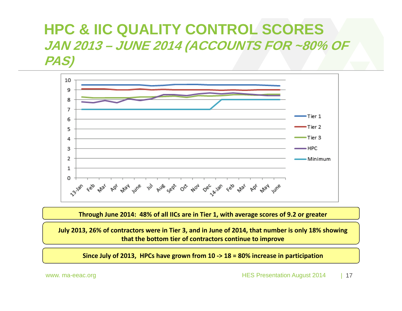### **HPC & IIC QUALITY CONTROL SCORES JAN 2013 – JUNE 2014 (ACCOUNTS FOR ~80% OF PAS)**



**Through June 2014: 48% of all IICs are in Tier 1, with average scores of 9.2 or greater**

July 2013, 26% of contractors were in Tier 3, and in June of 2014, that number is only 18% showing **that the bottom tier of contractors continue to improve**

**Since July of 2013, HPCs have grown from 10 ‐<sup>&</sup>gt; 18 <sup>=</sup> 80% increase in participation**